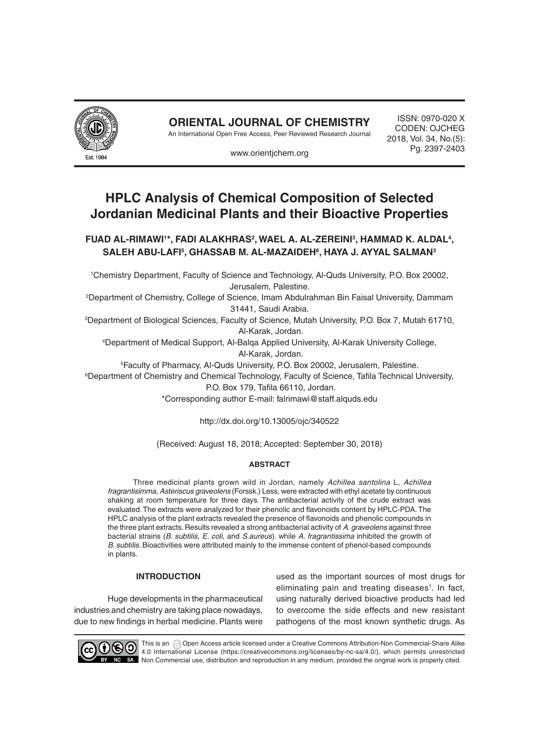

**ORIENTAL JOURNAL OF CHEMISTRY**

An International Open Free Access, Peer Reviewed Research Journal

ISSN: 0970-020 X CODEN: OJCHEG 2018, Vol. 34, No.(5): Pg. 2397-2403

www.orientjchem.org

# **HPLC Analysis of Chemical Composition of Selected Jordanian Medicinal Plants and their Bioactive Properties**

FUAD AL-RIMAWI'\*, FADI ALAKHRAS<sup>2</sup>, WAEL A. AL-ZEREINI<sup>3</sup>, HAMMAD K. ALDAL<sup>4</sup>, **Saleh Abu-Lafi5 , Ghassab M. Al-Mazaideh6 , Haya J. Ayyal Salman3**

1 Chemistry Department, Faculty of Science and Technology, Al-Quds University, P.O. Box 20002, Jerusalem, Palestine.

2 Department of Chemistry, College of Science, Imam Abdulrahman Bin Faisal University, Dammam 31441, Saudi Arabia.

3 Department of Biological Sciences, Faculty of Science, Mutah University, P.O. Box 7, Mutah 61710, Al-Karak, Jordan.

4 Department of Medical Support, Al-Balqa Applied University, Al-Karak University College, Al-Karak, Jordan.

5 Faculty of Pharmacy, Al-Quds University, P.O. Box 20002, Jerusalem, Palestine.

6 Department of Chemistry and Chemical Technology, Faculty of Science, Tafila Technical University, P.O. Box 179, Tafila 66110, Jordan.

\*Corresponding author E-mail: falrimawi@staff.alquds.edu

http://dx.doi.org/10.13005/ojc/340522

(Received: August 18, 2018; Accepted: September 30, 2018)

## **Abstract**

Three medicinal plants grown wild in Jordan, namely *Achillea santolina* L, *Achillea fragrantisimma*, *Asteriscus graveolens* (Forssk.) Less, were extracted with ethyl acetate by continuous shaking at room temperature for three days. The antibacterial activity of the crude extract was evaluated. The extracts were analyzed for their phenolic and flavonoids content by HPLC-PDA. The HPLC analysis of the plant extracts revealed the presence of flavonoids and phenolic compounds in the three plant extracts. Results revealed a strong antibacterial activity of *A. graveolens* against three bacterial strains (*B. subtilis, E. coli,* and *S.aureus*). while *A. fragrantissima* inhibited the growth of *B. subtilis*. Bioactivities were attributed mainly to the immense content of phenol-based compounds in plants.

## **Introduction**

Huge developments in the pharmaceutical industries and chemistry are taking place nowadays, due to new findings in herbal medicine. Plants were

used as the important sources of most drugs for eliminating pain and treating diseases<sup>1</sup>. In fact, using naturally derived bioactive products had led to overcome the side effects and new resistant pathogens of the most known synthetic drugs. As



This is an @ Open Access article licensed under a Creative Commons Attribution-Non Commercial-Share Alike 4.0 International License (https://creativecommons.org/licenses/by-nc-sa/4.0/), which permits unrestricted SA Non Commercial use, distribution and reproduction in any medium, provided the original work is properly cited.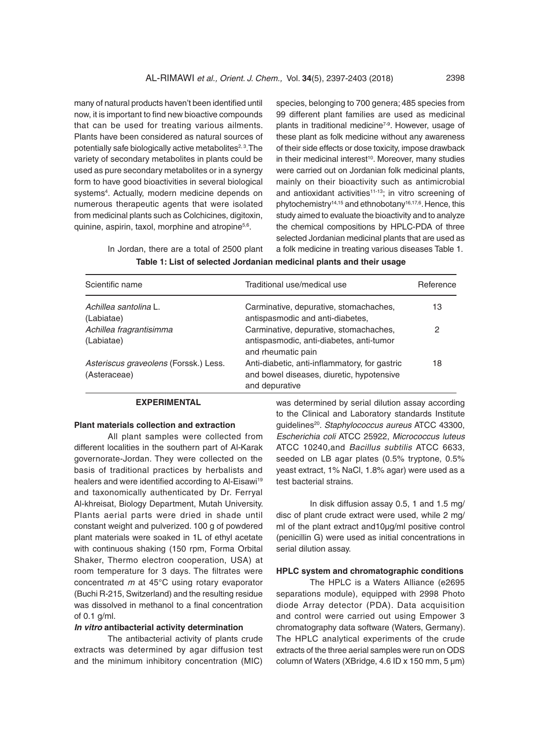many of natural products haven't been identified until now, it is important to find new bioactive compounds that can be used for treating various ailments. Plants have been considered as natural sources of potentially safe biologically active metabolites $2,3$ . The variety of secondary metabolites in plants could be used as pure secondary metabolites or in a synergy form to have good bioactivities in several biological systems<sup>4</sup>. Actually, modern medicine depends on numerous therapeutic agents that were isolated from medicinal plants such as Colchicines, digitoxin, quinine, aspirin, taxol, morphine and atropine<sup>5,6</sup>.

In Jordan, there are a total of 2500 plant

species, belonging to 700 genera; 485 species from 99 different plant families are used as medicinal plants in traditional medicine<sup>7-9</sup>. However, usage of these plant as folk medicine without any awareness of their side effects or dose toxicity, impose drawback in their medicinal interest<sup>10</sup>. Moreover, many studies were carried out on Jordanian folk medicinal plants, mainly on their bioactivity such as antimicrobial and antioxidant activities<sup>11-13</sup>; in vitro screening of phytochemistry<sup>14,15</sup> and ethnobotany<sup>16,17,6</sup>. Hence, this study aimed to evaluate the bioactivity and to analyze the chemical compositions by HPLC-PDA of three selected Jordanian medicinal plants that are used as a folk medicine in treating various diseases Table 1.

| Scientific name                                       | Traditional use/medical use                                                                                  | Reference |
|-------------------------------------------------------|--------------------------------------------------------------------------------------------------------------|-----------|
| Achillea santolina L.<br>(Labiatae)                   | Carminative, depurative, stomachaches,<br>antispasmodic and anti-diabetes,                                   | 13        |
| Achillea fragrantisimma<br>(Labiatae)                 | Carminative, depurative, stomachaches,<br>antispasmodic, anti-diabetes, anti-tumor<br>and rheumatic pain     | 2         |
| Asteriscus graveolens (Forssk.) Less.<br>(Asteraceae) | Anti-diabetic, anti-inflammatory, for gastric<br>and bowel diseases, diuretic, hypotensive<br>and depurative | 18        |

**Table 1: List of selected Jordanian medicinal plants and their usage**

## **Experimental**

#### **Plant materials collection and extraction**

All plant samples were collected from different localities in the southern part of Al-Karak governorate-Jordan. They were collected on the basis of traditional practices by herbalists and healers and were identified according to Al-Eisawi<sup>19</sup> and taxonomically authenticated by Dr. Ferryal Al-khreisat, Biology Department, Mutah University. Plants aerial parts were dried in shade until constant weight and pulverized. 100 g of powdered plant materials were soaked in 1L of ethyl acetate with continuous shaking (150 rpm, Forma Orbital Shaker, Thermo electron cooperation, USA) at room temperature for 3 days. The filtrates were concentrated *m* at 45°C using rotary evaporator (Buchi R-215, Switzerland) and the resulting residue was dissolved in methanol to a final concentration of  $0.1$  g/ml.

#### *In vitro* **antibacterial activity determination**

The antibacterial activity of plants crude extracts was determined by agar diffusion test and the minimum inhibitory concentration (MIC) was determined by serial dilution assay according to the Clinical and Laboratory standards Institute guidelines20. *Staphylococcus aureus* ATCC 43300, *Escherichia coli* ATCC 25922, *Micrococcus luteus*  ATCC 10240,and *Bacillus subtilis* ATCC 6633, seeded on LB agar plates (0.5% tryptone, 0.5% yeast extract, 1% NaCl, 1.8% agar) were used as a test bacterial strains.

In disk diffusion assay 0.5, 1 and 1.5 mg/ disc of plant crude extract were used, while 2 mg/ ml of the plant extract and10µg/ml positive control (penicillin G) were used as initial concentrations in serial dilution assay.

#### **HPLC system and chromatographic conditions**

The HPLC is a Waters Alliance (e2695 separations module), equipped with 2998 Photo diode Array detector (PDA). Data acquisition and control were carried out using Empower 3 chromatography data software (Waters, Germany). The HPLC analytical experiments of the crude extracts of the three aerial samples were run on ODS column of Waters (XBridge, 4.6 ID x 150 mm, 5 µm)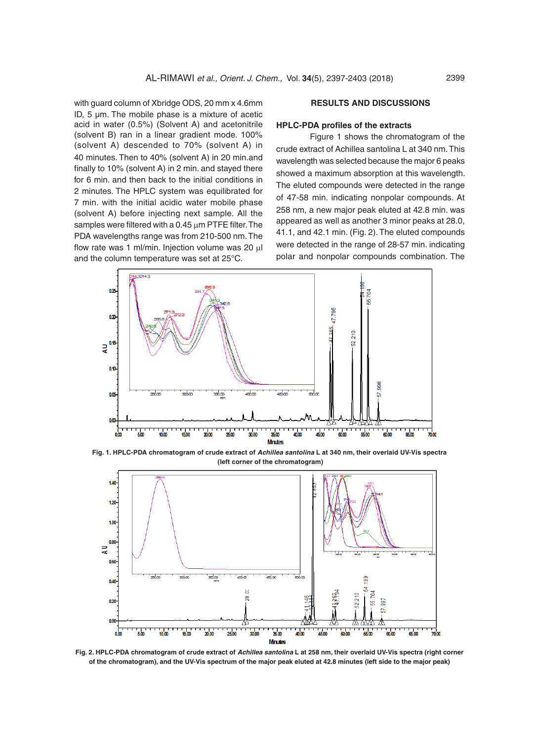with guard column of Xbridge ODS, 20 mm x 4.6mm ID, 5 µm. The mobile phase is a mixture of acetic acid in water (0.5%) (Solvent A) and acetonitrile (solvent B) ran in a linear gradient mode. 100% (solvent A) descended to 70% (solvent A) in 40 minutes. Then to 40% (solvent A) in 20 min.and finally to 10% (solvent A) in 2 min. and stayed there for 6 min. and then back to the initial conditions in 2 minutes. The HPLC system was equilibrated for 7 min. with the initial acidic water mobile phase (solvent A) before injecting next sample. All the samples were filtered with a  $0.45 \mu m$  PTFE filter. The PDA wavelengths range was from 210-500 nm. The flow rate was 1 ml/min. Injection volume was 20  $\mu$ l and the column temperature was set at 25°C.

## **Results and Discussions**

#### **HPLC-PDA profiles of the extracts**

Figure 1 shows the chromatogram of the crude extract of Achillea santolina L at 340 nm. This wavelength was selected because the major 6 peaks showed a maximum absorption at this wavelength. The eluted compounds were detected in the range of 47-58 min. indicating nonpolar compounds. At 258 nm, a new major peak eluted at 42.8 min. was appeared as well as another 3 minor peaks at 28.0, 41.1, and 42.1 min. (Fig. 2). The eluted compounds were detected in the range of 28-57 min. indicating polar and nonpolar compounds combination. The



**Fig. 1. HPLC-PDA chromatogram of crude extract of** *Achillea santolina* **L at 340 nm, their overlaid UV-Vis spectra (left corner of the chromatogram)** 



**Fig. 2. HPLC-PDA chromatogram of crude extract of** *Achillea santolina* **L at 258 nm, their overlaid UV-Vis spectra (right corner of the chromatogram), and the UV-Vis spectrum of the major peak eluted at 42.8 minutes (left side to the major peak)**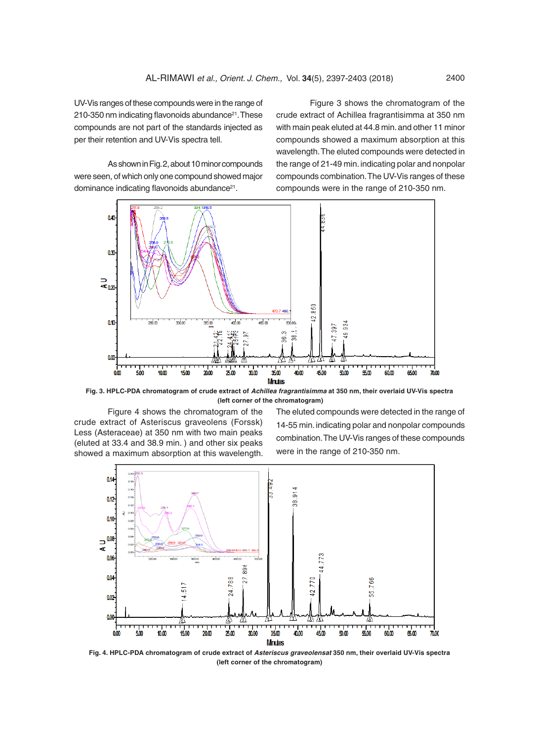UV-Vis ranges of these compounds were in the range of  $210-350$  nm indicating flavonoids abundance $21$ . These compounds are not part of the standards injected as per their retention and UV-Vis spectra tell.

As shown in Fig. 2, about 10 minor compounds were seen, of which only one compound showed major dominance indicating flavonoids abundance<sup>21</sup>.

Figure 3 shows the chromatogram of the crude extract of Achillea fragrantisimma at 350 nm with main peak eluted at 44.8 min. and other 11 minor compounds showed a maximum absorption at this wavelength. The eluted compounds were detected in the range of 21-49 min. indicating polar and nonpolar compounds combination. The UV-Vis ranges of these compounds were in the range of 210-350 nm.



**Fig. 3. HPLC-PDA chromatogram of crude extract of** *Achillea fragrantisimma* **at 350 nm, their overlaid UV-Vis spectra (left corner of the chromatogram)** 

Figure 4 shows the chromatogram of the crude extract of Asteriscus graveolens (Forssk) Less (Asteraceae) at 350 nm with two main peaks (eluted at 33.4 and 38.9 min. ) and other six peaks showed a maximum absorption at this wavelength. The eluted compounds were detected in the range of 14-55 min. indicating polar and nonpolar compounds combination. The UV-Vis ranges of these compounds were in the range of 210-350 nm.



**Fig. 4. HPLC-PDA chromatogram of crude extract of** *Asteriscus graveolensat* **350 nm, their overlaid UV-Vis spectra (left corner of the chromatogram)**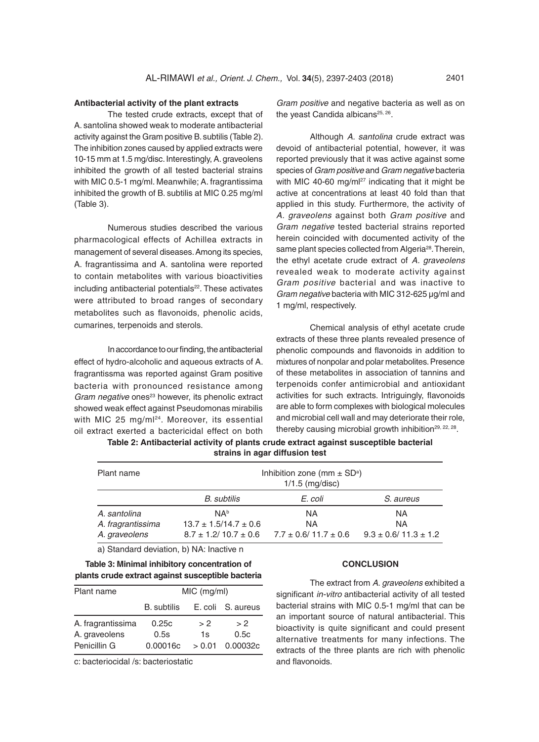#### **Antibacterial activity of the plant extracts**

The tested crude extracts, except that of A. santolina showed weak to moderate antibacterial activity against the Gram positive B. subtilis (Table 2). The inhibition zones caused by applied extracts were 10-15 mm at 1.5 mg/disc. Interestingly, A. graveolens inhibited the growth of all tested bacterial strains with MIC 0.5-1 mg/ml. Meanwhile; A. fragrantissima inhibited the growth of B. subtilis at MIC 0.25 mg/ml (Table 3).

Numerous studies described the various pharmacological effects of Achillea extracts in management of several diseases. Among its species, A. fragrantissima and A. santolina were reported to contain metabolites with various bioactivities including antibacterial potentials<sup>22</sup>. These activates were attributed to broad ranges of secondary metabolites such as flavonoids, phenolic acids, cumarines, terpenoids and sterols.

In accordance to our finding, the antibacterial effect of hydro-alcoholic and aqueous extracts of A. fragrantissma was reported against Gram positive bacteria with pronounced resistance among Gram negative ones<sup>23</sup> however, its phenolic extract showed weak effect against Pseudomonas mirabilis with MIC 25 mg/ml<sup>24</sup>. Moreover, its essential oil extract exerted a bactericidal effect on both

*Gram positive* and negative bacteria as well as on the yeast Candida albicans<sup>25, 26</sup>.

Although *A. santolina* crude extract was devoid of antibacterial potential, however, it was reported previously that it was active against some species of *Gram positive* and *Gram negative* bacteria with MIC 40-60 mg/m $l^{27}$  indicating that it might be active at concentrations at least 40 fold than that applied in this study. Furthermore, the activity of *A. graveolens* against both *Gram positive* and *Gram negative* tested bacterial strains reported herein coincided with documented activity of the same plant species collected from Algeria<sup>28</sup>. Therein, the ethyl acetate crude extract of *A. graveolens*  revealed weak to moderate activity against *Gram positive* bacterial and was inactive to *Gram negative* bacteria with MIC 312-625 µg/ml and 1 mg/ml, respectively.

Chemical analysis of ethyl acetate crude extracts of these three plants revealed presence of phenolic compounds and flavonoids in addition to mixtures of nonpolar and polar metabolites. Presence of these metabolites in association of tannins and terpenoids confer antimicrobial and antioxidant activities for such extracts. Intriguingly, flavonoids are able to form complexes with biological molecules and microbial cell wall and may deteriorate their role, thereby causing microbial growth inhibition<sup>29, 22, 28</sup>.

**Table 2: Antibacterial activity of plants crude extract against susceptible bacterial strains in agar diffusion test**

| Plant name                                         | Inhibition zone (mm $\pm$ SD <sup>a</sup> )<br>$1/1.5$ (mg/disc) |                                                                          |                                               |  |  |
|----------------------------------------------------|------------------------------------------------------------------|--------------------------------------------------------------------------|-----------------------------------------------|--|--|
|                                                    | B. subtilis                                                      | E. coli                                                                  | S. aureus                                     |  |  |
| A. santolina<br>A. fragrantissima<br>A. graveolens | NA <sup>b</sup><br>$13.7 \pm 1.5/14.7 \pm 0.6$                   | ΝA<br><b>NA</b><br>$8.7 \pm 1.2/10.7 \pm 0.6$ $7.7 \pm 0.6/11.7 \pm 0.6$ | ΝA<br><b>NA</b><br>$9.3 \pm 0.6/11.3 \pm 1.2$ |  |  |

a) Standard deviation, b) NA: Inactive n

# **Table 3: Minimal inhibitory concentration of plants crude extract against susceptible bacteria**

| Plant name        | MIC (mg/ml)        |        |                   |  |
|-------------------|--------------------|--------|-------------------|--|
|                   | <b>B.</b> subtilis |        | E. coli S. aureus |  |
| A. fragrantissima | 0.25c              | > 2    | > 2               |  |
| A. graveolens     | 0.5s               | 1s     | 0.5c              |  |
| Penicillin G      | 0.00016c           | > 0.01 | 0.00032c          |  |

c: bacteriocidal /s: bacteriostatic

#### **Conclusion**

The extract from *A. graveolens* exhibited a significant *in-vitro* antibacterial activity of all tested bacterial strains with MIC 0.5-1 mg/ml that can be an important source of natural antibacterial. This bioactivity is quite significant and could present alternative treatments for many infections. The extracts of the three plants are rich with phenolic and flavonoids.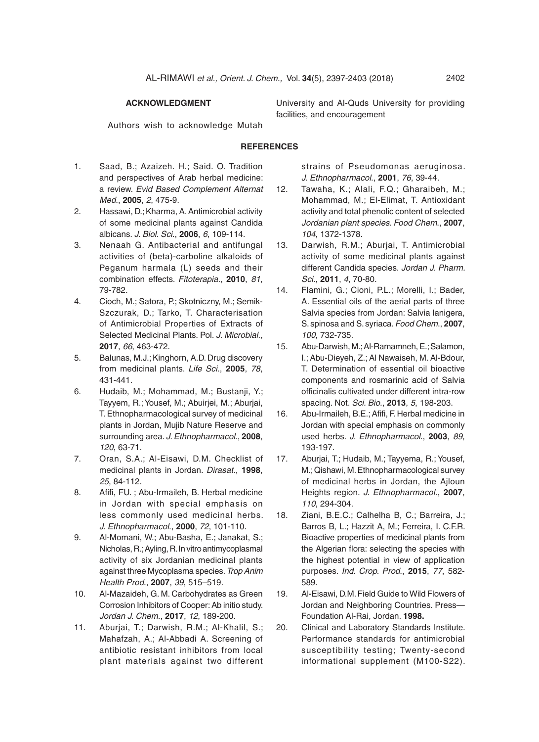# **Acknowledgment**

Authors wish to acknowledge Mutah

## **References**

- 1. Saad, B.; Azaizeh. H.; Said. O. Tradition and perspectives of Arab herbal medicine: a review. *Evid Based Complement Alternat Med*., **2005**, *2*, 475-9.
- 2. Hassawi, D.; Kharma, A. Antimicrobial activity of some medicinal plants against Candida albicans. *J. Biol. Sci*., **2006**, *6*, 109-114.
- 3. Nenaah G. Antibacterial and antifungal activities of (beta)-carboline alkaloids of Peganum harmala (L) seeds and their combination effects. *Fitoterapia*., **2010**, *81*, 79-782.
- 4. Cioch, M.; Satora, P.; Skotniczny, M.; Semik-Szczurak, D.; Tarko, T. Characterisation of Antimicrobial Properties of Extracts of Selected Medicinal Plants. Pol. *J. Microbial.,*  **2017**, *66*, 463-472.
- 5. Balunas, M.J.; Kinghorn, A.D. Drug discovery from medicinal plants. *Life Sci*., **2005**, *78*, 431-441.
- 6. Hudaib, M.; Mohammad, M.; Bustanji, Y.; Tayyem, R.; Yousef, M.; Abuirjei, M.; Aburjai, T. Ethnopharmacological survey of medicinal plants in Jordan, Mujib Nature Reserve and surrounding area. *J. Ethnopharmacol*., **2008**, *120*, 63-71.
- 7. Oran, S.A.; Al-Eisawi, D.M. Checklist of medicinal plants in Jordan. *Dirasat*., **1998**, *25*, 84-112.
- 8. Afifi, FU. ; Abu-Irmaileh, B. Herbal medicine in Jordan with special emphasis on less commonly used medicinal herbs. *J. Ethnopharmacol*., **2000**, *72*, 101-110.
- 9. Al-Momani, W.; Abu-Basha, E.; Janakat, S.; Nicholas, R.; Ayling, R. In vitro antimycoplasmal activity of six Jordanian medicinal plants against three Mycoplasma species. *Trop Anim Health Prod*., **2007**, *39*, 515–519.
- 10. Al-Mazaideh, G. M. Carbohydrates as Green Corrosion Inhibitors of Cooper: Ab initio study. *Jordan J. Chem*., **2017**, *12*, 189-200.
- 11. Aburjai, T.; Darwish, R.M.; Al-Khalil, S.; Mahafzah, A.; Al-Abbadi A. Screening of antibiotic resistant inhibitors from local plant materials against two different

strains of Pseudomonas aeruginosa. *J. Ethnopharmacol*., **2001**, *76*, 39-44.

- 12. Tawaha, K.; Alali, F.Q.; Gharaibeh, M.; Mohammad, M.; El-Elimat, T. Antioxidant activity and total phenolic content of selected *Jordanian plant species. Food Chem*., **2007**, *104*, 1372-1378.
- 13. Darwish, R.M.; Aburjai, T. Antimicrobial activity of some medicinal plants against different Candida species. *Jordan J. Pharm. Sci*., **2011**, *4*, 70-80.
- 14. Flamini, G.; Cioni, P.L.; Morelli, I.; Bader, A. Essential oils of the aerial parts of three Salvia species from Jordan: Salvia lanigera, S. spinosa and S. syriaca. *Food Chem*., **2007**, *100*, 732-735.
- 15. Abu-Darwish, M.; Al-Ramamneh, E.; Salamon, I.; Abu-Dieyeh, Z.; Al Nawaiseh, M. Al-Bdour, T. Determination of essential oil bioactive components and rosmarinic acid of Salvia officinalis cultivated under different intra-row spacing. Not. *Sci. Bio*., **2013**, *5*, 198-203.
- 16. Abu-Irmaileh, B.E.; Afifi, F. Herbal medicine in Jordan with special emphasis on commonly used herbs. *J. Ethnopharmacol*., **2003**, *89*, 193-197.
- 17. Aburjai, T.; Hudaib, M.; Tayyema, R.; Yousef, M.; Qishawi, M. Ethnopharmacological survey of medicinal herbs in Jordan, the Ajloun Heights region. *J. Ethnopharmacol*., **2007**, *110*, 294-304.
- 18. Ziani, B.E.C.; Calhelha B, C.; Barreira, J.; Barros B, L.; Hazzit A, M.; Ferreira, I. C.F.R. Bioactive properties of medicinal plants from the Algerian flora: selecting the species with the highest potential in view of application purposes. *Ind. Crop. Prod*., **2015**, *77*, 582- 589.
- 19. Al-Eisawi, D.M. Field Guide to Wild Flowers of Jordan and Neighboring Countries. Press— Foundation Al-Rai, Jordan. **1998.**
- 20. Clinical and Laboratory Standards Institute. Performance standards for antimicrobial susceptibility testing; Twenty-second informational supplement (M100-S22).

facilities, and encouragement

University and Al-Quds University for providing